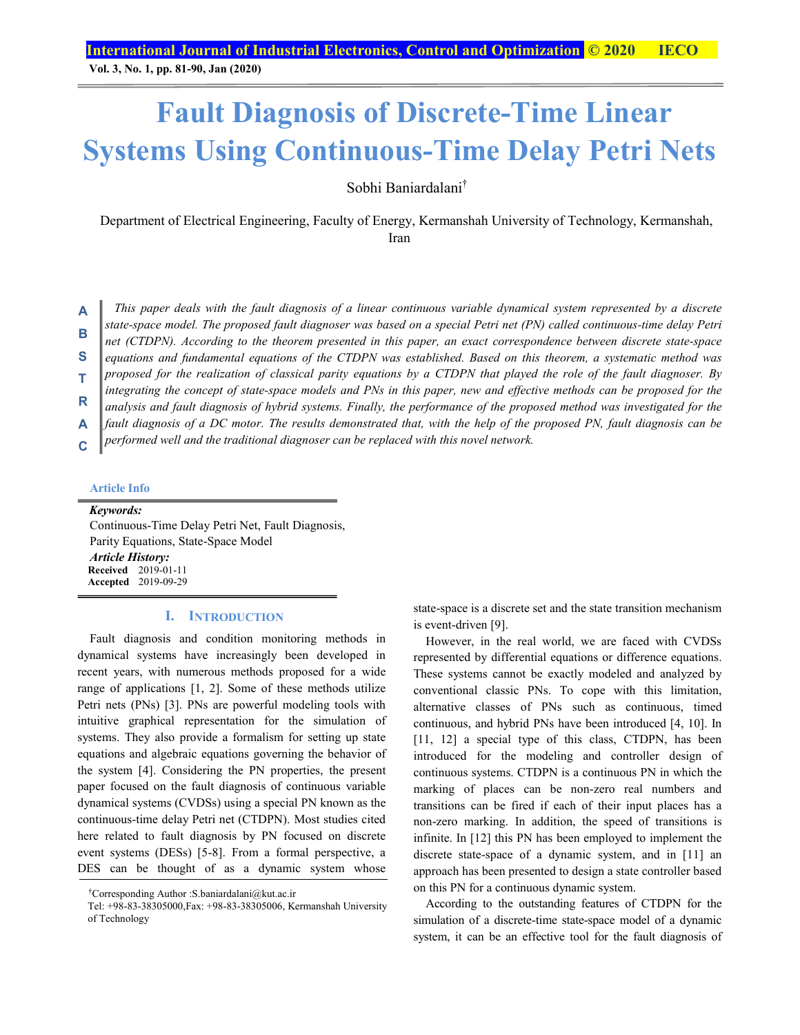**Vol. 3, No. 1, pp. 81-90, Jan (2020)**

# **Fault Diagnosis of Discrete-Time Linear Systems Using Continuous-Time Delay Petri Nets**

Sobhi Baniardalani†

Department of Electrical Engineering, Faculty of Energy, Kermanshah University of Technology, Kermanshah, Iran

*This paper deals with the fault diagnosis of a linear continuous variable dynamical system represented by a discrete state-space model. The proposed fault diagnoser was based on a special Petri net (PN) called continuous-time delay Petri*  **A B** 

*net (CTDPN). According to the theorem presented in this paper, an exact correspondence between discrete state-space* 

*equations and fundamental equations of the CTDPN was established. Based on this theorem, a systematic method was*  **S** 

*proposed for the realization of classical parity equations by a CTDPN that played the role of the fault diagnoser. By integrating the concept of state-space models and PNs in this paper, new and effective methods can be proposed for the*  **T** 

analysis and fault diagnosis of hybrid systems. Finally, the performance of the proposed method was investigated for the **R** 

*fault diagnosis of a DC motor. The results demonstrated that, with the help of the proposed PN, fault diagnosis can be*  **A** 

*performed well and the traditional diagnoser can be replaced with this novel network.*  **C** 

# **Article Info**

*Keywords:*  Continuous-Time Delay Petri Net, Fault Diagnosis, Parity Equations, State-Space Model *Article History:*  **Received** 2019-01-11 **Accepted** 2019-09-29

#### **I. INTRODUCTION**

Fault diagnosis and condition monitoring methods in dynamical systems have increasingly been developed in recent years, with numerous methods proposed for a wide range of applications [1, 2]. Some of these methods utilize Petri nets (PNs) [3]. PNs are powerful modeling tools with intuitive graphical representation for the simulation of systems. They also provide a formalism for setting up state equations and algebraic equations governing the behavior of the system [4]. Considering the PN properties, the present paper focused on the fault diagnosis of continuous variable dynamical systems (CVDSs) using a special PN known as the continuous-time delay Petri net (CTDPN). Most studies cited here related to fault diagnosis by PN focused on discrete event systems (DESs) [5-8]. From a formal perspective, a DES can be thought of as a dynamic system whose

state-space is a discrete set and the state transition mechanism is event-driven [9].

However, in the real world, we are faced with CVDSs represented by differential equations or difference equations. These systems cannot be exactly modeled and analyzed by conventional classic PNs. To cope with this limitation, alternative classes of PNs such as continuous, timed continuous, and hybrid PNs have been introduced [4, 10]. In [11, 12] a special type of this class, CTDPN, has been introduced for the modeling and controller design of continuous systems. CTDPN is a continuous PN in which the marking of places can be non-zero real numbers and transitions can be fired if each of their input places has a non-zero marking. In addition, the speed of transitions is infinite. In [12] this PN has been employed to implement the discrete state-space of a dynamic system, and in [11] an approach has been presented to design a state controller based on this PN for a continuous dynamic system.

According to the outstanding features of CTDPN for the simulation of a discrete-time state-space model of a dynamic system, it can be an effective tool for the fault diagnosis of

<sup>†</sup> Corresponding Author :S.baniardalani@kut.ac.ir

Tel: +98-83-38305000,Fax: +98-83-38305006, Kermanshah University of Technology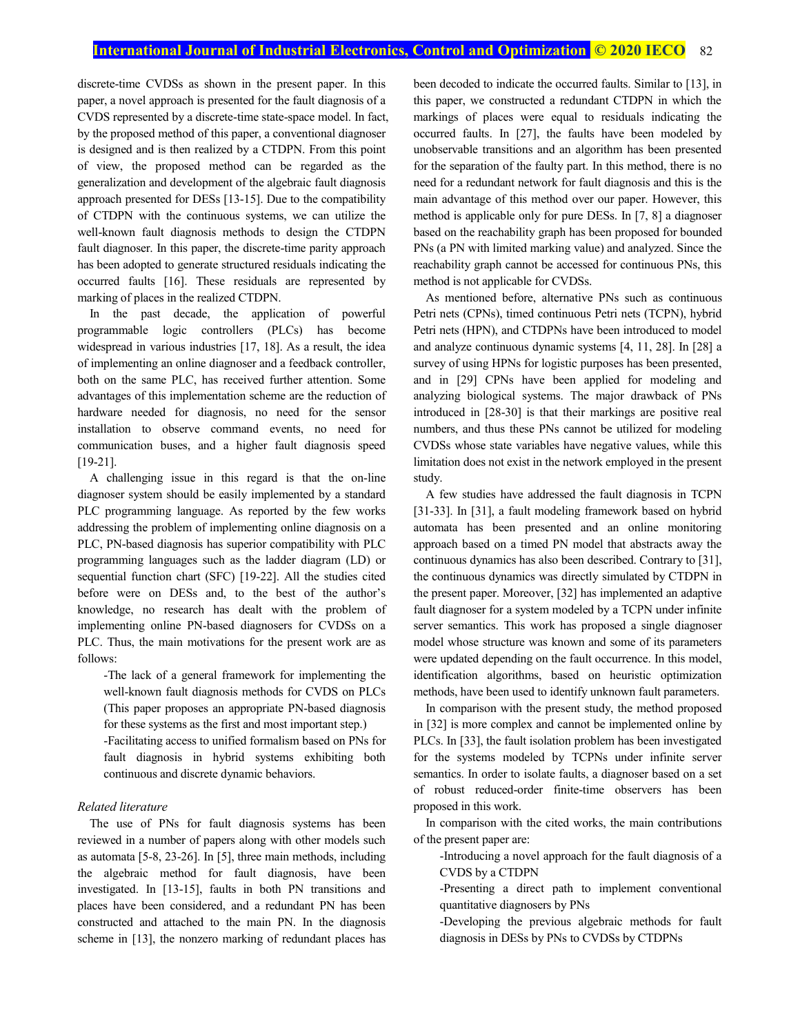discrete-time CVDSs as shown in the present paper. In this paper, a novel approach is presented for the fault diagnosis of a CVDS represented by a discrete-time state-space model. In fact, by the proposed method of this paper, a conventional diagnoser is designed and is then realized by a CTDPN. From this point of view, the proposed method can be regarded as the generalization and development of the algebraic fault diagnosis approach presented for DESs [13-15]. Due to the compatibility of CTDPN with the continuous systems, we can utilize the well-known fault diagnosis methods to design the CTDPN fault diagnoser. In this paper, the discrete-time parity approach has been adopted to generate structured residuals indicating the occurred faults [16]. These residuals are represented by marking of places in the realized CTDPN.

In the past decade, the application of powerful programmable logic controllers (PLCs) has become widespread in various industries [17, 18]. As a result, the idea of implementing an online diagnoser and a feedback controller, both on the same PLC, has received further attention. Some advantages of this implementation scheme are the reduction of hardware needed for diagnosis, no need for the sensor installation to observe command events, no need for communication buses, and a higher fault diagnosis speed [19-21].

A challenging issue in this regard is that the on-line diagnoser system should be easily implemented by a standard PLC programming language. As reported by the few works addressing the problem of implementing online diagnosis on a PLC, PN-based diagnosis has superior compatibility with PLC programming languages such as the ladder diagram (LD) or sequential function chart (SFC) [19-22]. All the studies cited before were on DESs and, to the best of the author's knowledge, no research has dealt with the problem of implementing online PN-based diagnosers for CVDSs on a PLC. Thus, the main motivations for the present work are as follows:

-The lack of a general framework for implementing the well-known fault diagnosis methods for CVDS on PLCs (This paper proposes an appropriate PN-based diagnosis for these systems as the first and most important step.)

-Facilitating access to unified formalism based on PNs for fault diagnosis in hybrid systems exhibiting both continuous and discrete dynamic behaviors.

#### *Related literature*

The use of PNs for fault diagnosis systems has been reviewed in a number of papers along with other models such as automata [5-8, 23-26]. In [5], three main methods, including the algebraic method for fault diagnosis, have been investigated. In [13-15], faults in both PN transitions and places have been considered, and a redundant PN has been constructed and attached to the main PN. In the diagnosis scheme in [13], the nonzero marking of redundant places has been decoded to indicate the occurred faults. Similar to [13], in this paper, we constructed a redundant CTDPN in which the markings of places were equal to residuals indicating the occurred faults. In [27], the faults have been modeled by unobservable transitions and an algorithm has been presented for the separation of the faulty part. In this method, there is no need for a redundant network for fault diagnosis and this is the main advantage of this method over our paper. However, this method is applicable only for pure DESs. In [7, 8] a diagnoser based on the reachability graph has been proposed for bounded PNs (a PN with limited marking value) and analyzed. Since the reachability graph cannot be accessed for continuous PNs, this method is not applicable for CVDSs.

As mentioned before, alternative PNs such as continuous Petri nets (CPNs), timed continuous Petri nets (TCPN), hybrid Petri nets (HPN), and CTDPNs have been introduced to model and analyze continuous dynamic systems [4, 11, 28]. In [28] a survey of using HPNs for logistic purposes has been presented, and in [29] CPNs have been applied for modeling and analyzing biological systems. The major drawback of PNs introduced in [28-30] is that their markings are positive real numbers, and thus these PNs cannot be utilized for modeling CVDSs whose state variables have negative values, while this limitation does not exist in the network employed in the present study.

A few studies have addressed the fault diagnosis in TCPN [31-33]. In [31], a fault modeling framework based on hybrid automata has been presented and an online monitoring approach based on a timed PN model that abstracts away the continuous dynamics has also been described. Contrary to [31], the continuous dynamics was directly simulated by CTDPN in the present paper. Moreover, [32] has implemented an adaptive fault diagnoser for a system modeled by a TCPN under infinite server semantics. This work has proposed a single diagnoser model whose structure was known and some of its parameters were updated depending on the fault occurrence. In this model, identification algorithms, based on heuristic optimization methods, have been used to identify unknown fault parameters.

In comparison with the present study, the method proposed in [32] is more complex and cannot be implemented online by PLCs. In [33], the fault isolation problem has been investigated for the systems modeled by TCPNs under infinite server semantics. In order to isolate faults, a diagnoser based on a set of robust reduced-order finite-time observers has been proposed in this work.

In comparison with the cited works, the main contributions of the present paper are:

-Introducing a novel approach for the fault diagnosis of a CVDS by a CTDPN

-Presenting a direct path to implement conventional quantitative diagnosers by PNs

-Developing the previous algebraic methods for fault diagnosis in DESs by PNs to CVDSs by CTDPNs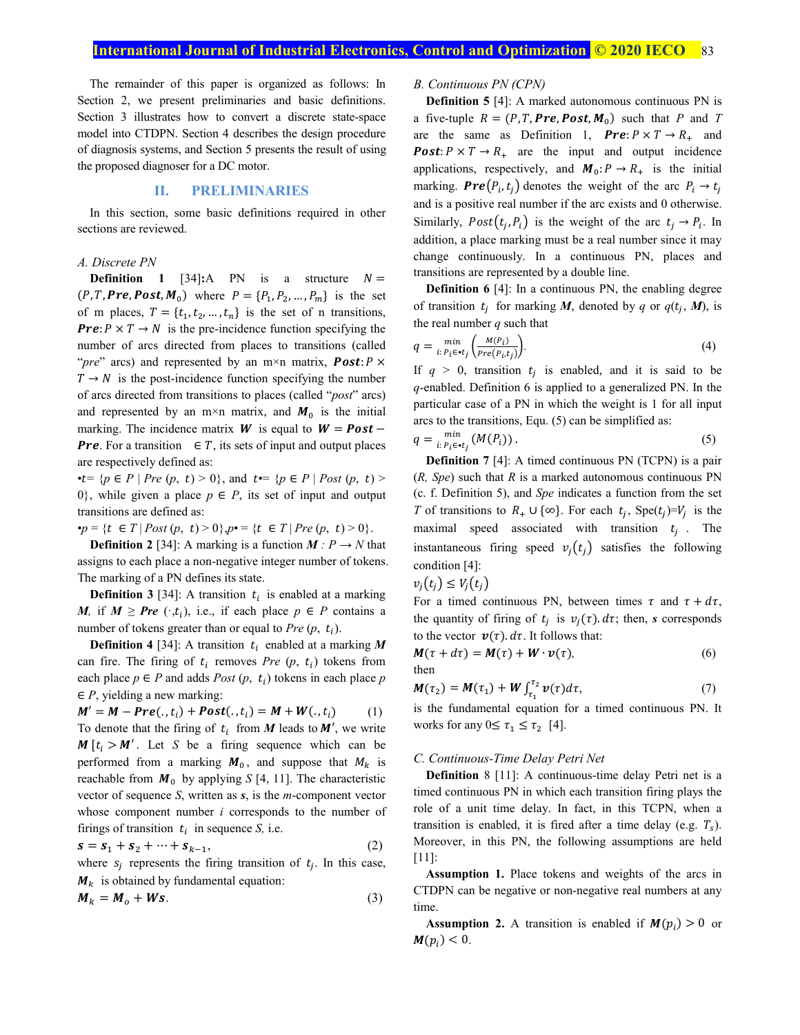The remainder of this paper is organized as follows: In Section 2, we present preliminaries and basic definitions. Section 3 illustrates how to convert a discrete state-space model into CTDPN. Section 4 describes the design procedure of diagnosis systems, and Section 5 presents the result of using the proposed diagnoser for a DC motor.

# **II. PRELIMINARIES**

In this section, some basic definitions required in other sections are reviewed.

# *A. Discrete PN*

**Definition 1** [34]:A PN is a structure  $N =$  $(P, T, **Pre**, **Post**, **M**<sub>0</sub>)$  where  $P = \{P_1, P_2, ..., P_m\}$  is the set of m places,  $T = \{t_1, t_2, ..., t_n\}$  is the set of n transitions, **Pre**:  $P \times T \rightarrow N$  is the pre-incidence function specifying the number of arcs directed from places to transitions (called "*pre*" arcs) and represented by an  $m \times n$  matrix, **Post**:  $P \times$  $T \rightarrow N$  is the post-incidence function specifying the number of arcs directed from transitions to places (called "*post*" arcs) and represented by an m×n matrix, and  $M_0$  is the initial marking. The incidence matrix **W** is equal to  $W = Post -$ **Pre.** For a transition  $\in T$ , its sets of input and output places are respectively defined as:

•t= { $p \in P$  | *Pre*  $(p, t) > 0$ }, and t • = { $p \in P$  | *Post*  $(p, t) > 0$ 0}, while given a place  $p \in P$ , its set of input and output transitions are defined as:

 $\mathbf{p} = \{ t \in T \mid Post(p, t) > 0 \}, p \bullet = \{ t \in T \mid Pre(p, t) > 0 \}.$ 

**Definition 2** [34]: A marking is a function  $M : P \rightarrow N$  that assigns to each place a non-negative integer number of tokens. The marking of a PN defines its state.

**Definition 3** [34]: A transition  $t_i$  is enabled at a marking *M*, if  $M \geq Pre$  ( $\cdot$ , $t_i$ ), i.e., if each place  $p \in P$  contains a number of tokens greater than or equal to *Pre*  $(p, t_i)$ .

**Definition 4** [34]: A transition  $t_i$  enabled at a marking M can fire. The firing of  $t_i$  removes *Pre*  $(p, t_i)$  tokens from each place  $p \in P$  and adds *Post*  $(p, t_i)$  tokens in each place *p* ∈ *P*, yielding a new marking:

$$
M' = M - Pre(., t_i) + Post(., t_i) = M + W(., t_i)
$$
 (1)  
To denote that the firing of  $t_i$  from M leads to M', we write  
M [ $t_i > M'$ . Let S be a firing sequence which can be  
performed from a marking  $M_0$ , and suppose that  $M_k$  is  
reachable from  $M_0$  by applying S [4, 11]. The characteristic  
vector of sequence S, written as s, is the *m*-component vector  
whose component number i corresponds to the number of  
frings of transition  $t_i$  in sequence S, i.e.

$$
s = s_1 + s_2 + \dots + s_{k-1},
$$
 (2)

where  $s_i$  represents the firing transition of  $t_i$ . In this case,  $M_k$  is obtained by fundamental equation:

$$
M_k = M_o + Ws. \tag{3}
$$

## *B. Continuous PN (CPN)*

**Definition 5** [4]: A marked autonomous continuous PN is a five-tuple  $R = (P, T, Pre, Post, M_0)$  such that *P* and *T* are the same as Definition 1,  $Pre: P \times T \rightarrow R_+$  and **Post:**  $P \times T \rightarrow R_+$  are the input and output incidence applications, respectively, and  $M_0: P \to R_+$  is the initial marking. **Pre** $(P_i, t_i)$  denotes the weight of the arc  $P_i \rightarrow t_i$ and is a positive real number if the arc exists and 0 otherwise. Similarly,  $Post(t_i, P_i)$  is the weight of the arc  $t_i \rightarrow P_i$ . In addition, a place marking must be a real number since it may change continuously. In a continuous PN, places and transitions are represented by a double line.

**Definition 6** [4]: In a continuous PN, the enabling degree of transition  $t_i$  for marking *M*, denoted by *q* or  $q(t_i, M)$ , is the real number *q* such that

$$
q = \min_{i: P_i \in \mathcal{I}} \left( \frac{M(P_i)}{Pre(P_i, t_j)} \right). \tag{4}
$$

If  $q > 0$ , transition  $t_i$  is enabled, and it is said to be *q*-enabled. Definition 6 is applied to a generalized PN. In the particular case of a PN in which the weight is 1 for all input arcs to the transitions, Equ. (5) can be simplified as:

$$
q = \min_{i: P_i \in \mathbf{t}_j} \left( M(P_i) \right). \tag{5}
$$

**Definition 7** [4]: A timed continuous PN (TCPN) is a pair (*R, Spe*) such that *R* is a marked autonomous continuous PN (c. f. Definition 5), and *Spe* indicates a function from the set *T* of transitions to  $R_+ \cup \{ \infty \}$ . For each  $t_i$ , Spe( $t_i$ )= $V_i$  is the maximal speed associated with transition  $t_i$ . The instantaneous firing speed  $v_i(t_i)$  satisfies the following condition [4]:

$$
v_j(t_j) \leq V_j(t_j)
$$

For a timed continuous PN, between times  $\tau$  and  $\tau + d\tau$ , the quantity of firing of  $t_i$  is  $v_i(\tau)$ .  $d\tau$ ; then, *s* corresponds to the vector  $v(\tau)$ .  $d\tau$ . It follows that:

$$
M(\tau + d\tau) = M(\tau) + W \cdot \nu(\tau),
$$
\n(6)

\nthen

$$
M(\tau_2) = M(\tau_1) + W \int_{\tau_1}^{\tau_2} \nu(\tau) d\tau, \qquad (7)
$$

is the fundamental equation for a timed continuous PN. It works for any  $0 \leq \tau_1 \leq \tau_2$  [4].

#### *C. Continuous-Time Delay Petri Net*

**Definition** 8 [11]: A continuous-time delay Petri net is a timed continuous PN in which each transition firing plays the role of a unit time delay. In fact, in this TCPN, when a transition is enabled, it is fired after a time delay (e.g.  $T_s$ ). Moreover, in this PN, the following assumptions are held [11]:

**Assumption 1.** Place tokens and weights of the arcs in CTDPN can be negative or non-negative real numbers at any time.

**Assumption 2.** A transition is enabled if  $M(p_i) > 0$  or  $M(p_i) < 0$ .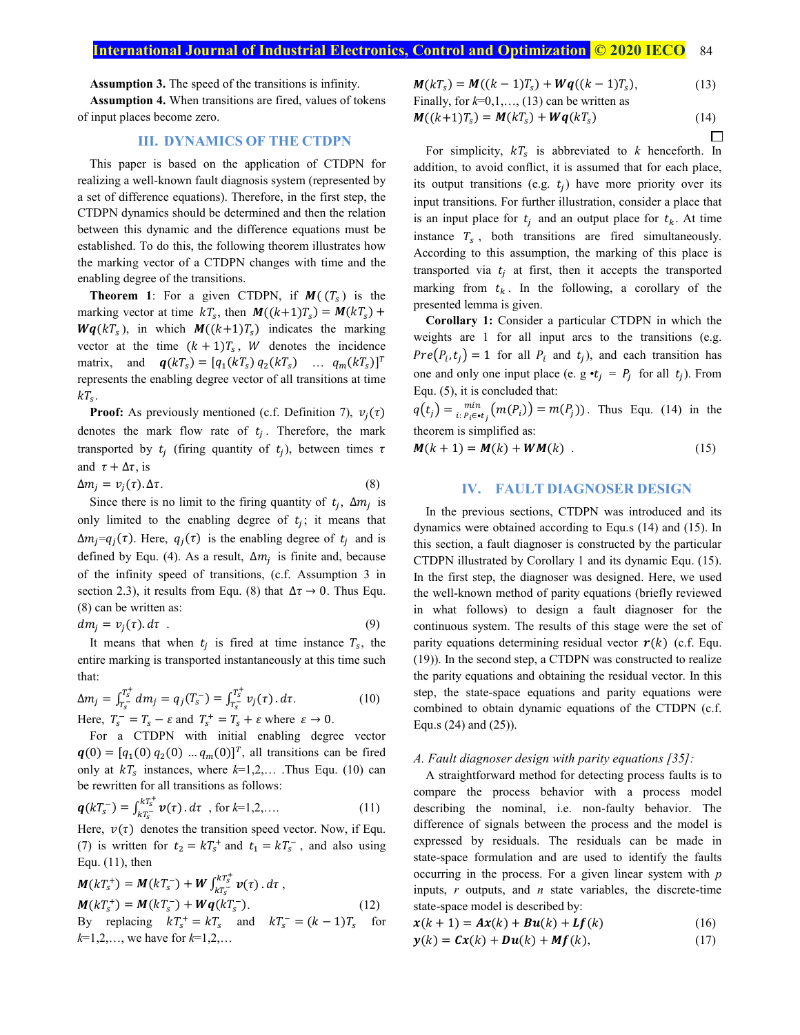# **International Journal of Industrial Electronics, Control and Optimization © 2020 IECO** 84

**Assumption 3.** The speed of the transitions is infinity.

**Assumption 4.** When transitions are fired, values of tokens of input places become zero.

## **III. DYNAMICS OF THE CTDPN**

This paper is based on the application of CTDPN for realizing a well-known fault diagnosis system (represented by a set of difference equations). Therefore, in the first step, the CTDPN dynamics should be determined and then the relation between this dynamic and the difference equations must be established. To do this, the following theorem illustrates how the marking vector of a CTDPN changes with time and the enabling degree of the transitions.

**Theorem 1**: For a given CTDPN, if  $M(\, (T_s)$  is the marking vector at time  $kT_s$ , then  $M((k+1)T_s) = M(kT_s) +$  $Wq(kT<sub>s</sub>)$ , in which  $M((k+1)T<sub>s</sub>)$  indicates the marking vector at the time  $(k + 1)T_s$ , W denotes the incidence matrix, and  $\mathbf{q}(kT_s) = [q_1(kT_s) q_2(kT_s) \dots q_m(kT_s)]^T$ represents the enabling degree vector of all transitions at time  $kT_s$ .

**Proof:** As previously mentioned (c.f. Definition 7),  $v_i(\tau)$ denotes the mark flow rate of  $t_i$ . Therefore, the mark transported by  $t_i$  (firing quantity of  $t_i$ ), between times  $\tau$ and  $\tau + \Delta \tau$ , is

$$
\Delta m_j = v_j(\tau) \cdot \Delta \tau. \tag{8}
$$

Since there is no limit to the firing quantity of  $t_i$ ,  $\Delta m_i$  is only limited to the enabling degree of  $t_i$ ; it means that  $\Delta m_j = q_j(\tau)$ . Here,  $q_j(\tau)$  is the enabling degree of  $t_i$  and is defined by Equ. (4). As a result,  $\Delta m_i$  is finite and, because of the infinity speed of transitions, (c.f. Assumption 3 in section 2.3), it results from Equ. (8) that  $\Delta \tau \rightarrow 0$ . Thus Equ. (8) can be written as:

$$
dm_j = v_j(\tau). d\tau \tag{9}
$$

It means that when  $t_i$  is fired at time instance  $T_s$ , the entire marking is transported instantaneously at this time such that:

$$
\Delta m_j = \int_{T_s^-}^{T_s^+} dm_j = q_j(T_s^-) = \int_{T_s^-}^{T_s^+} v_j(\tau) \, d\tau. \tag{10}
$$
\n
$$
\text{Here, } T_s^- = T_s - \varepsilon \text{ and } T_s^+ = T_s + \varepsilon \text{ where } \varepsilon \to 0.
$$

For a CTDPN with initial enabling degree vector  $q(0) = [q_1(0) q_2(0) ... q_m(0)]^T$ , all transitions can be fired only at  $kT_s$  instances, where  $k=1,2,...$  . Thus Equ. (10) can be rewritten for all transitions as follows:

$$
\boldsymbol{q}(kT_s^{-}) = \int_{kT_s^{-}}^{kT_s^{+}} \boldsymbol{v}(\tau) \, d\tau \quad \text{for } k=1,2,\dots \tag{11}
$$

Here,  $v(\tau)$  denotes the transition speed vector. Now, if Equ. (7) is written for  $t_2 = kT_s^+$  and  $t_1 = kT_s^-$ , and also using Equ. (11), then

$$
M(kT_s^+) = M(kT_s^-) + W \int_{kT_s^-}^{kT_s^+} \nu(\tau) \, d\tau,
$$
  
\n
$$
M(kT_s^+) = M(kT_s^-) + Wq(kT_s^-).
$$
 (12)  
\nBy replacing  $kT_s^+ = kT_s$  and  $kT_s^- = (k-1)T_s$  for  
\n $k=1,2,...$ , we have for  $k=1,2,...$ 

$$
M(kT_s) = M((k-1)T_s) + Wq((k-1)T_s),
$$
  
\nFinally, for k=0,1,..., (13) can be written as

$$
M((k+1)Ts) = M(kTs) + Wq(kTs)
$$
\n(14)

For simplicity,  $kT_s$  is abbreviated to k henceforth. In addition, to avoid conflict, it is assumed that for each place, its output transitions (e.g.  $t_i$ ) have more priority over its input transitions. For further illustration, consider a place that is an input place for  $t_i$  and an output place for  $t_k$ . At time instance  $T_s$ , both transitions are fired simultaneously. According to this assumption, the marking of this place is transported via  $t_i$  at first, then it accepts the transported marking from  $t_k$ . In the following, a corollary of the presented lemma is given.

**Corollary 1:** Consider a particular CTDPN in which the weights are 1 for all input arcs to the transitions (e.g.  $Pre(P_i, t_j) = 1$  for all  $P_i$  and  $t_j$ ), and each transition has one and only one input place (e. g  $\cdot t_i = P_i$  for all  $t_i$ ). From Equ. (5), it is concluded that:

 $q(t_j) = \lim_{i:P_i \in \mathbf{t}_j} (m(P_i)) = m(P_j)$ . Thus Equ. (14) in the theorem is simplified as:

$$
M(k+1) = M(k) + WM(k) \tag{15}
$$

## **IV. FAULT DIAGNOSER DESIGN**

In the previous sections, CTDPN was introduced and its dynamics were obtained according to Equ.s (14) and (15). In this section, a fault diagnoser is constructed by the particular CTDPN illustrated by Corollary 1 and its dynamic Equ. (15). In the first step, the diagnoser was designed. Here, we used the well-known method of parity equations (briefly reviewed in what follows) to design a fault diagnoser for the continuous system. The results of this stage were the set of parity equations determining residual vector  $r(k)$  (c.f. Equ. (19)). In the second step, a CTDPN was constructed to realize the parity equations and obtaining the residual vector. In this step, the state-space equations and parity equations were combined to obtain dynamic equations of the CTDPN (c.f. Equ.s (24) and (25)).

#### *A. Fault diagnoser design with parity equations [35]:*

A straightforward method for detecting process faults is to compare the process behavior with a process model describing the nominal, i.e. non-faulty behavior. The difference of signals between the process and the model is expressed by residuals. The residuals can be made in state-space formulation and are used to identify the faults occurring in the process. For a given linear system with *p* inputs, *r* outputs, and *n* state variables, the discrete-time state-space model is described by:

$$
x(k+1) = Ax(k) + Bu(k) + Lf(k)
$$
 (16)

$$
\mathbf{y}(k) = \mathbf{C}\mathbf{x}(k) + \mathbf{D}\mathbf{u}(k) + \mathbf{M}\mathbf{f}(k),\tag{17}
$$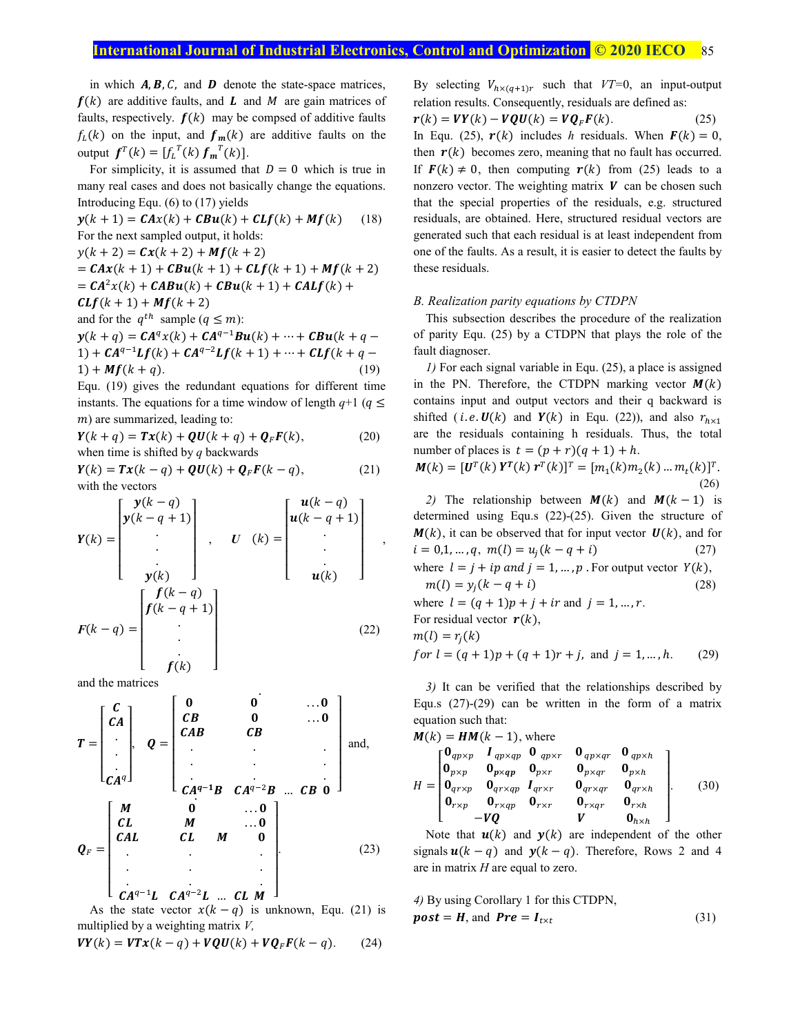# **International Journal of Industrial Electronics, Control and Optimization © 2020 IECO 85**

in which  $A, B, C$ , and  $D$  denote the state-space matrices,  $f(k)$  are additive faults, and  $L$  and  $M$  are gain matrices of faults, respectively.  $f(k)$  may be compsed of additive faults  $f_L(k)$  on the input, and  $f_m(k)$  are additive faults on the output  $f^{T}(k) = [f_{L}^{T}(k) f_{m}^{T}(k)].$ 

For simplicity, it is assumed that  $D = 0$  which is true in many real cases and does not basically change the equations. Introducing Equ. (6) to (17) yields

$$
\mathbf{y}(k+1) = \mathbf{C}A\mathbf{x}(k) + \mathbf{C}B\mathbf{u}(k) + \mathbf{C}Lf(k) + Mf(k) \quad (18)
$$
  
For the next sampled output, it holds:  

$$
\mathbf{y}(k+2) = \mathbf{C}\mathbf{x}(k+2) + Mf(k+2)
$$

$$
= \mathbf{C}A\mathbf{x}(k+1) + \mathbf{C}Bu(k+1) + \mathbf{C}Lf(k+1) + Mf(k+2)
$$

$$
= \mathbf{C}A^2\mathbf{x}(k) + \mathbf{C}A\mathbf{B}\mathbf{u}(k) + \mathbf{C}Bu(k+1) + \mathbf{C}ALf(k) +
$$

$$
\mathbf{C}Lf(k+1) + Mf(k+2)
$$
and for the  $q^{th}$  sample ( $q \le m$ ):  

$$
\mathbf{y}(k+q) = \mathbf{C}A^q\mathbf{x}(k) + \mathbf{C}A^{q-1}\mathbf{B}\mathbf{u}(k) + \dots + \mathbf{C}Bu(k+q-1) + \mathbf{C}A^{q-1}Lf(k) + \mathbf{C}A^{q-2}Lf(k+1) + \dots + \mathbf{C}Lf(k+q-1) + Mf(k+q). \quad (19)
$$

Equ. (19) gives the redundant equations for different time instants. The equations for a time window of length  $q+1$  ( $q \leq$  $(m)$  are summarized, leading to:

$$
Y(k + q) = Tx(k) + QU(k + q) + QFF(k),
$$
 (20)  
when time is shifted by q backwards

 $Y(k) = Tx(k - q) + QU(k) + Q<sub>F</sub>F(k - q),$  (21) with the vectors

$$
Y(k) = \begin{bmatrix} y(k-q) \\ y(k-q+1) \\ \cdot \\ \cdot \\ y(k) \end{bmatrix}, \quad U \quad (k) = \begin{bmatrix} u(k-q) \\ u(k-q+1) \\ \cdot \\ \cdot \\ u(k) \end{bmatrix},
$$

$$
F(k-q) = \begin{bmatrix} f(k-q) \\ f(k-q+1) \\ \cdot \\ \cdot \\ f(k) \end{bmatrix}
$$
(22)

and the matrices

$$
T = \begin{bmatrix} C \\ CA \\ CA^{q} \end{bmatrix}, Q = \begin{bmatrix} 0 & 0 & \dots 0 \\ CB & 0 & \dots 0 \\ CAB & CB & \dots \\ \vdots & \vdots & \ddots & \vdots \\ CA^{q-1}B & CA^{q-2}B & \dots & CB & 0 \end{bmatrix} \text{ and,}
$$
  
\n
$$
Q_F = \begin{bmatrix} M & 0 & \dots 0 \\ CL & M & \dots 0 \\ CAL & CL & M & 0 \\ \vdots & \vdots & \ddots & \vdots \\ CA^{q-1}L & CA^{q-2}L & \dots & CL & M \end{bmatrix}
$$
 (23)

As the state vector  $x(k - q)$  is unknown, Equ. (21) is multiplied by a weighting matrix *V,* 

$$
\boldsymbol{V}\boldsymbol{Y}(k) = \boldsymbol{V}\boldsymbol{T}\boldsymbol{x}(k-q) + \boldsymbol{V}\boldsymbol{Q}\boldsymbol{U}(k) + \boldsymbol{V}\boldsymbol{Q}_F\boldsymbol{F}(k-q). \qquad (24)
$$

By selecting  $V_{h \times (q+1)r}$  such that  $VT=0$ , an input-output relation results. Consequently, residuals are defined as:

$$
r(k) = VY(k) - VQU(k) = VQ_F F(k).
$$
 (25)  
In Equ. (25),  $r(k)$  includes *h* residuals. When  $F(k) = 0$ ,  
then  $r(k)$  becomes zero, meaning that no fault has occurred.  
If  $F(k) \neq 0$ , then computing  $r(k)$  from (25) leads to a  
nonzero vector. The weighting matrix *V* can be chosen such

that the special properties of the residuals, e.g. structured residuals, are obtained. Here, structured residual vectors are generated such that each residual is at least independent from one of the faults. As a result, it is easier to detect the faults by these residuals.

#### *B. Realization parity equations by CTDPN*

This subsection describes the procedure of the realization of parity Equ. (25) by a CTDPN that plays the role of the fault diagnoser.

*1)* For each signal variable in Equ. (25), a place is assigned in the PN. Therefore, the CTDPN marking vector  $M(k)$ contains input and output vectors and their q backward is shifted (*i.e.*  $U(k)$  and  $Y(k)$  in Equ. (22)), and also  $r_{h \times 1}$ are the residuals containing h residuals. Thus, the total number of places is  $t = (p + r)(q + 1) + h$ .

$$
\mathbf{M}(k) = [\mathbf{U}^T(k) \mathbf{Y}^T(k) \mathbf{r}^T(k)]^T = [m_1(k)m_2(k) ... m_t(k)]^T.
$$
\n(26)

*2)* The relationship between  $M(k)$  and  $M(k - 1)$  is determined using Equ.s (22)-(25). Given the structure of  $M(k)$ , it can be observed that for input vector  $U(k)$ , and for  $i = 0,1, ..., q, m(l) = u<sub>i</sub>(k - q + i)$  (27) where  $l = j + ip$  and  $j = 1, ..., p$ . For output vector  $Y(k)$ ,  $m(l) = y_i(k - q + i)$  (28) where  $l = (q + 1)p + j + ir$  and  $j = 1, ..., r$ .

For residual vector  $r(k)$ ,  $m(l) = r<sub>i</sub>(k)$ 

for 
$$
l = (q + 1)p + (q + 1)r + j
$$
, and  $j = 1, ..., h$ . (29)

*3)* It can be verified that the relationships described by Equ.s (27)-(29) can be written in the form of a matrix equation such that:

$$
M(k) = HM(k-1), \text{ where}
$$
\n
$$
H = \begin{bmatrix}\n\mathbf{0}_{qp\times p} & I_{qp\times qp} & \mathbf{0}_{qp\times r} & \mathbf{0}_{qp\times qr} & \mathbf{0}_{qp\times h} \\
\mathbf{0}_{p\times p} & \mathbf{0}_{p\times qp} & \mathbf{0}_{p\times r} & \mathbf{0}_{p\times qr} & \mathbf{0}_{p\times h} \\
\mathbf{0}_{qr\times p} & \mathbf{0}_{qr\times ap} & I_{qr\times r} & \mathbf{0}_{qr\times qr} & \mathbf{0}_{qr\times h} \\
\mathbf{0}_{r\times p} & \mathbf{0}_{r\times ap} & \mathbf{0}_{r\times r} & \mathbf{0}_{r\times qr} & \mathbf{0}_{r\times h} \\
-\mathbf{VQ} & \mathbf{V} & \mathbf{0}_{h\times h}\n\end{bmatrix}.
$$
\n(30)

Note that  $u(k)$  and  $y(k)$  are independent of the other signals  $u(k - q)$  and  $y(k - q)$ . Therefore, Rows 2 and 4 are in matrix *H* are equal to zero.

4) By using Corollary 1 for this CTDPN,  
**post** = 
$$
H
$$
, and **Pre** =  $I_{t \times t}$  (31)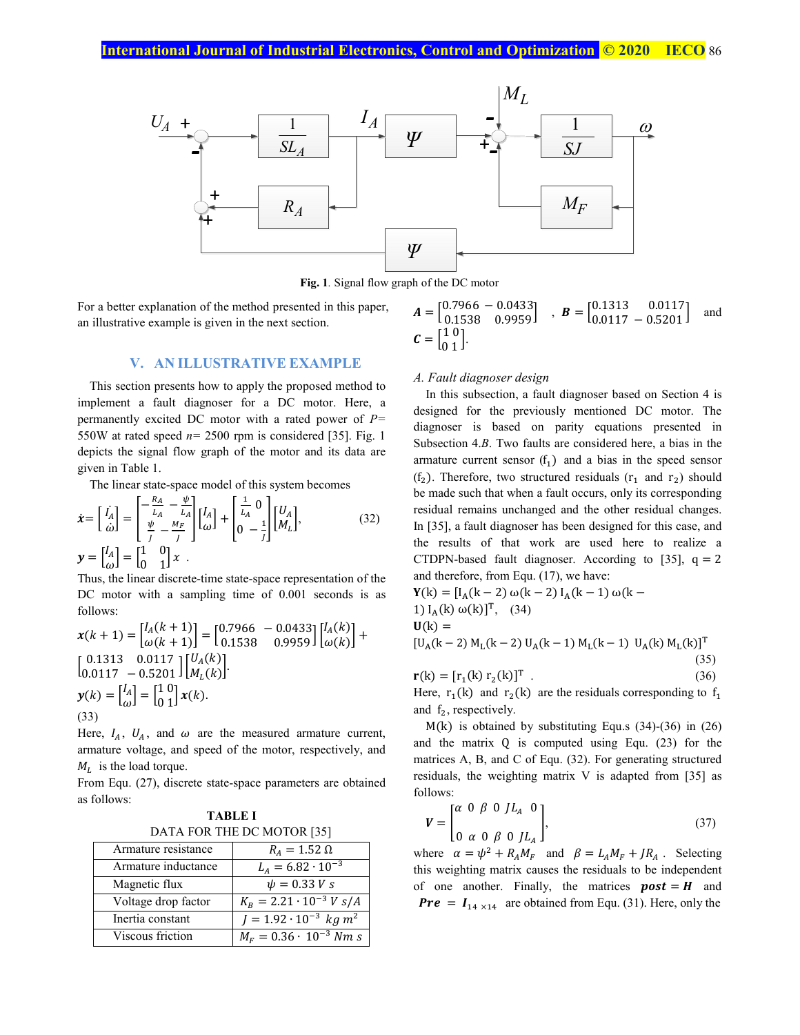

**Fig. 1***.* Signal flow graph of the DC motor

For a better explanation of the method presented in this paper, an illustrative example is given in the next section.

# **V. AN ILLUSTRATIVE EXAMPLE**

This section presents how to apply the proposed method to implement a fault diagnoser for a DC motor. Here, a permanently excited DC motor with a rated power of *P=* 550W at rated speed  $n= 2500$  rpm is considered [35]. Fig. 1 depicts the signal flow graph of the motor and its data are given in Table 1.

The linear state-space model of this system becomes

$$
\dot{\mathbf{x}} = \begin{bmatrix} I_A \\ \dot{\omega} \end{bmatrix} = \begin{bmatrix} -\frac{R_A}{L_A} - \frac{\psi}{L_A} \\ \frac{\psi}{J} - \frac{M_F}{J} \end{bmatrix} \begin{bmatrix} I_A \\ \omega \end{bmatrix} + \begin{bmatrix} \frac{1}{L_A} & 0 \\ 0 & -\frac{1}{J} \end{bmatrix} \begin{bmatrix} U_A \\ M_L \end{bmatrix},
$$
\n(32)\n
$$
\mathbf{y} = \begin{bmatrix} I_A \\ \omega \end{bmatrix} = \begin{bmatrix} 1 & 0 \\ 0 & 1 \end{bmatrix} \mathbf{x}
$$

Thus, the linear discrete-time state-space representation of the DC motor with a sampling time of 0.001 seconds is as follows:

$$
\mathbf{x}(k+1) = \begin{bmatrix} I_A(k+1) \\ \omega(k+1) \end{bmatrix} = \begin{bmatrix} 0.7966 & -0.0433 \\ 0.1538 & 0.9959 \end{bmatrix} \begin{bmatrix} I_A(k) \\ \omega(k) \end{bmatrix} + \begin{bmatrix} 0.1313 & 0.0117 \\ 0.0117 & -0.5201 \end{bmatrix} \begin{bmatrix} U_A(k) \\ M_L(k) \end{bmatrix}.
$$

$$
\mathbf{y}(k) = \begin{bmatrix} I_A \\ \omega \end{bmatrix} = \begin{bmatrix} 1 & 0 \\ 0 & 1 \end{bmatrix} \mathbf{x}(k).
$$
(33)

Here,  $I_A$ ,  $U_A$ , and  $\omega$  are the measured armature current, armature voltage, and speed of the motor, respectively, and  $M_L$  is the load torque.

From Equ. (27), discrete state-space parameters are obtained as follows:

| TABLE I                    |  |  |
|----------------------------|--|--|
| DATA FOR THE DC MOTOR [35] |  |  |

| Armature resistance | $R_A = 1.52 \Omega$                        |
|---------------------|--------------------------------------------|
| Armature inductance | $L_A = 6.82 \cdot 10^{-3}$                 |
| Magnetic flux       | $\psi = 0.33 V s$                          |
| Voltage drop factor | $K_R = 2.21 \cdot 10^{-3} V s/A$           |
| Inertia constant    | $I = 1.92 \cdot 10^{-3}$ kg m <sup>2</sup> |
| Viscous friction    | $M_F = 0.36 \cdot 10^{-3}$ Nm s            |

$$
\mathbf{A} = \begin{bmatrix} 0.7966 & -0.0433 \\ 0.1538 & 0.9959 \end{bmatrix}, \quad \mathbf{B} = \begin{bmatrix} 0.1313 & 0.0117 \\ 0.0117 & -0.5201 \end{bmatrix} \text{ and }
$$

$$
\mathbf{C} = \begin{bmatrix} 1 & 0 \\ 0 & 1 \end{bmatrix}.
$$

#### *A. Fault diagnoser design*

In this subsection, a fault diagnoser based on Section 4 is designed for the previously mentioned DC motor. The diagnoser is based on parity equations presented in Subsection 4.*B*. Two faults are considered here, a bias in the armature current sensor  $(f_1)$  and a bias in the speed sensor (f<sub>2</sub>). Therefore, two structured residuals ( $r_1$  and  $r_2$ ) should be made such that when a fault occurs, only its corresponding residual remains unchanged and the other residual changes. In [35], a fault diagnoser has been designed for this case, and the results of that work are used here to realize a CTDPN-based fault diagnoser. According to [35],  $q = 2$ and therefore, from Equ. (17), we have:

$$
Y(k) = [IA(k-2) ω(k-2) IA(k-1) ω(k-1) IA(k) ω(k)]T, (34)\nU(k) =\n[UA(k-2) ML(k-2) UA(k-1) ML(k-1) UA(k) ML(k)]T (35)\nr(k) = [r1(k) r2(k)]T (36)
$$

Here,  $r_1(k)$  and  $r_2(k)$  are the residuals corresponding to  $f_1$ and  $f_2$ , respectively.

M(k) is obtained by substituting Equ.s (34)-(36) in (26) and the matrix Q is computed using Equ. (23) for the matrices A, B, and C of Equ. (32). For generating structured residuals, the weighting matrix V is adapted from [35] as follows:

$$
\mathbf{V} = \begin{bmatrix} \alpha & 0 & \beta & 0 & J L_A & 0 \\ 0 & \alpha & 0 & \beta & 0 & J L_A \end{bmatrix},
$$
 (37)

where  $\alpha = \psi^2 + R_A M_F$  and  $\beta = L_A M_F + J R_A$ . Selecting this weighting matrix causes the residuals to be independent of one another. Finally, the matrices  $\boldsymbol{post} = \boldsymbol{H}$  and **Pre** =  $I_{14 \times 14}$  are obtained from Equ. (31). Here, only the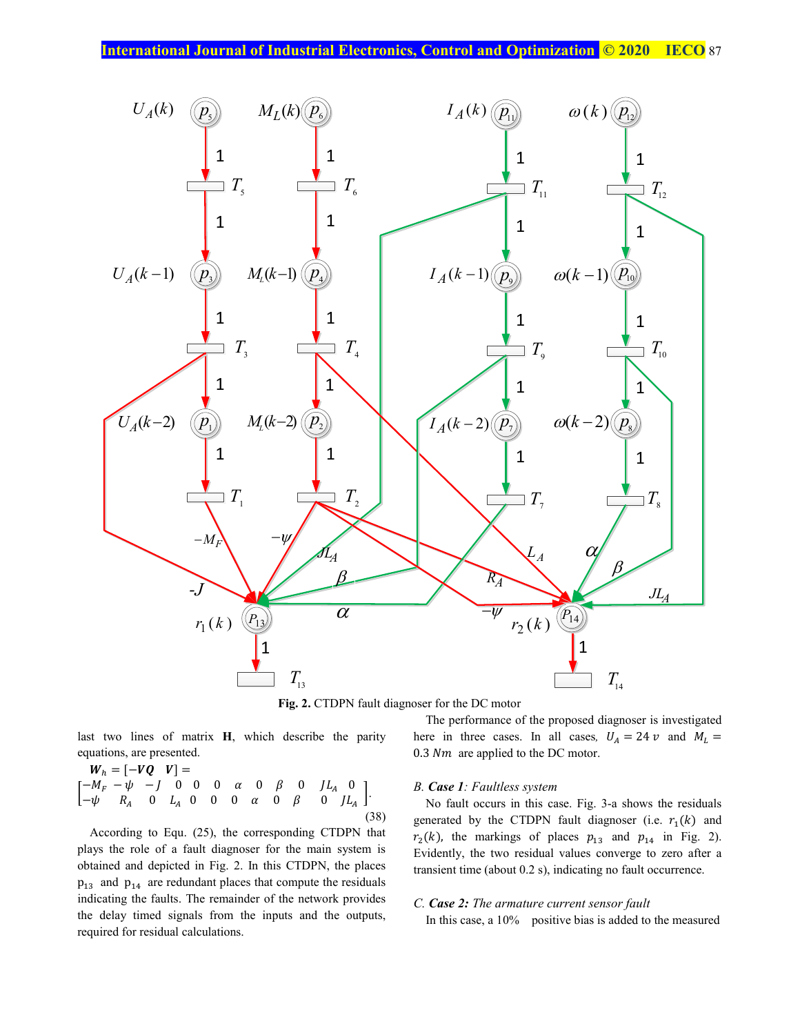

**Fig. 2.** CTDPN fault diagnoser for the DC motor

last two lines of matrix **H**, which describe the parity equations, are presented.

$$
W_h = [-VQ \quad V] =
$$
  
\n
$$
\begin{bmatrix} -M_F - \psi & -J & 0 & 0 & \alpha & 0 & \beta & 0 & JL_A & 0 \\ -\psi & R_A & 0 & L_A & 0 & 0 & 0 & \alpha & 0 & \beta & 0 & JL_A \end{bmatrix}.
$$
\n(38)

According to Equ. (25), the corresponding CTDPN that plays the role of a fault diagnoser for the main system is obtained and depicted in Fig. 2. In this CTDPN, the places  $p_{13}$  and  $p_{14}$  are redundant places that compute the residuals indicating the faults. The remainder of the network provides the delay timed signals from the inputs and the outputs, required for residual calculations.

# The performance of the proposed diagnoser is investigated here in three cases. In all cases,  $U_A = 24 \nu$  and  $M_L =$  $0.3$  Nm are applied to the DC motor.

# *B. Case 1: Faultless system*

No fault occurs in this case. Fig. 3-a shows the residuals generated by the CTDPN fault diagnoser (i.e.  $r_1(k)$  and  $r_2(k)$ , the markings of places  $p_{13}$  and  $p_{14}$  in Fig. 2). Evidently, the two residual values converge to zero after a transient time (about 0.2 s), indicating no fault occurrence.

## *C. Case 2: The armature current sensor fault*

In this case, a 10% positive bias is added to the measured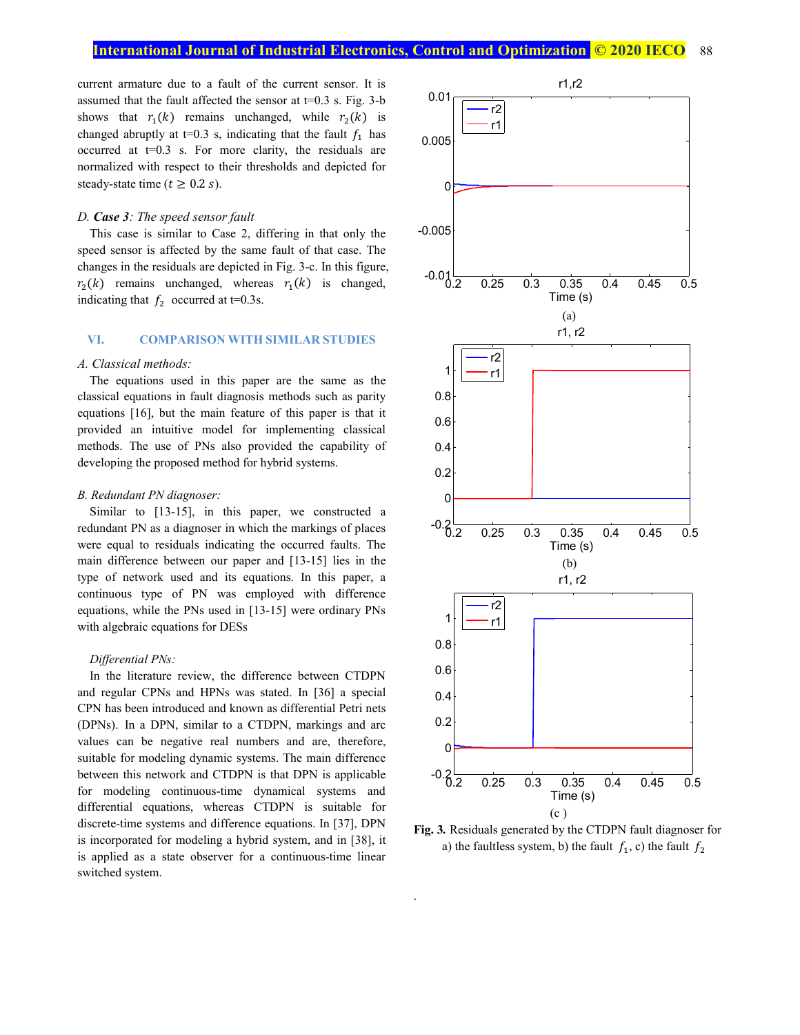current armature due to a fault of the current sensor. It is assumed that the fault affected the sensor at  $t=0.3$  s. Fig. 3-b shows that  $r_1(k)$  remains unchanged, while  $r_2(k)$  is changed abruptly at  $t=0.3$  s, indicating that the fault  $f_1$  has occurred at  $t=0.3$  s. For more clarity, the residuals are normalized with respect to their thresholds and depicted for steady-state time ( $t \geq 0.2$  s).

#### *D. Case 3: The speed sensor fault*

This case is similar to Case 2, differing in that only the speed sensor is affected by the same fault of that case. The changes in the residuals are depicted in Fig. 3-c. In this figure,  $r_2(k)$  remains unchanged, whereas  $r_1(k)$  is changed, indicating that  $f_2$  occurred at t=0.3s.

# **VI. COMPARISON WITH SIMILAR STUDIES**

#### *A. Classical methods:*

The equations used in this paper are the same as the classical equations in fault diagnosis methods such as parity equations [16], but the main feature of this paper is that it provided an intuitive model for implementing classical methods. The use of PNs also provided the capability of developing the proposed method for hybrid systems.

#### *B. Redundant PN diagnoser:*

Similar to [13-15], in this paper, we constructed a redundant PN as a diagnoser in which the markings of places were equal to residuals indicating the occurred faults. The main difference between our paper and [13-15] lies in the type of network used and its equations. In this paper, a continuous type of PN was employed with difference equations, while the PNs used in [13-15] were ordinary PNs with algebraic equations for DESs

## *Differential PNs:*

In the literature review, the difference between CTDPN and regular CPNs and HPNs was stated. In [36] a special CPN has been introduced and known as differential Petri nets (DPNs). In a DPN, similar to a CTDPN, markings and arc values can be negative real numbers and are, therefore, suitable for modeling dynamic systems. The main difference between this network and CTDPN is that DPN is applicable for modeling continuous-time dynamical systems and differential equations, whereas CTDPN is suitable for discrete-time systems and difference equations. In [37], DPN is incorporated for modeling a hybrid system, and in [38], it is applied as a state observer for a continuous-time linear switched system.





.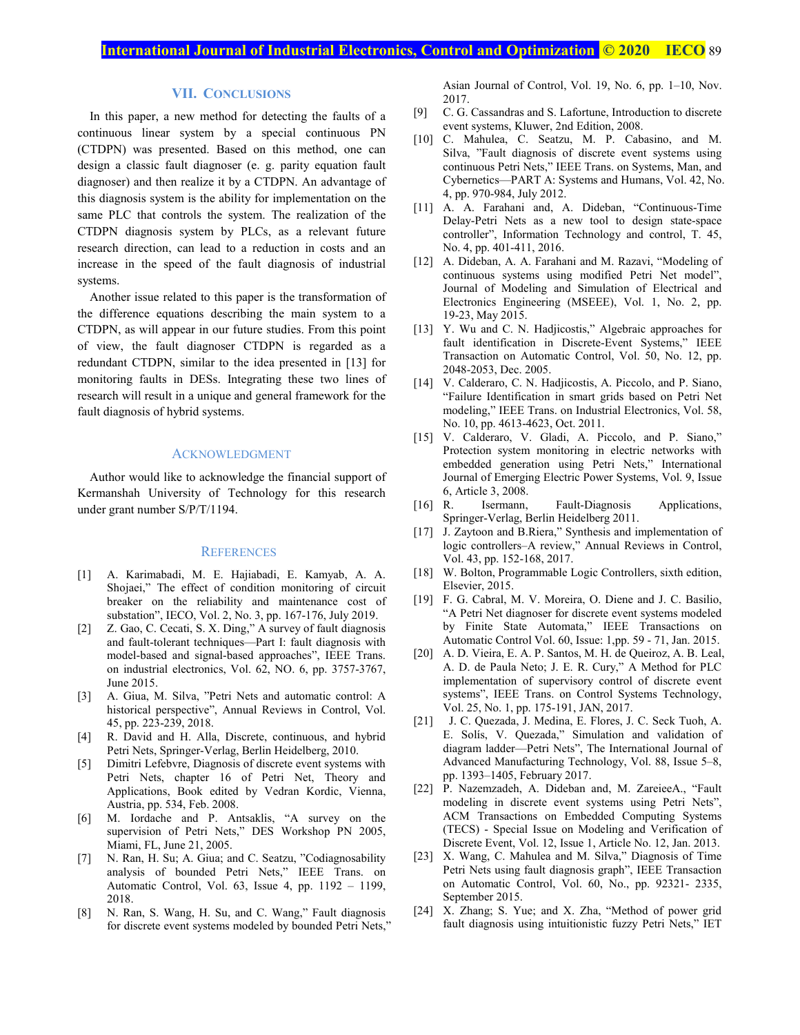# **VII. CONCLUSIONS**

In this paper, a new method for detecting the faults of a continuous linear system by a special continuous PN (CTDPN) was presented. Based on this method, one can design a classic fault diagnoser (e. g. parity equation fault diagnoser) and then realize it by a CTDPN. An advantage of this diagnosis system is the ability for implementation on the same PLC that controls the system. The realization of the CTDPN diagnosis system by PLCs, as a relevant future research direction, can lead to a reduction in costs and an increase in the speed of the fault diagnosis of industrial systems.

Another issue related to this paper is the transformation of the difference equations describing the main system to a CTDPN, as will appear in our future studies. From this point of view, the fault diagnoser CTDPN is regarded as a redundant CTDPN, similar to the idea presented in [13] for monitoring faults in DESs. Integrating these two lines of research will result in a unique and general framework for the fault diagnosis of hybrid systems.

#### ACKNOWLEDGMENT

Author would like to acknowledge the financial support of Kermanshah University of Technology for this research under grant number S/P/T/1194.

#### **REFERENCES**

- [1] A. Karimabadi, M. E. Hajiabadi, E. Kamyab, A. A. Shojaei," The effect of condition monitoring of circuit breaker on the reliability and maintenance cost of substation", IECO, Vol. 2, No. 3, pp. 167-176, July 2019.
- [2] Z. Gao, C. Cecati, S. X. Ding," A survey of fault diagnosis and fault-tolerant techniques—Part I: fault diagnosis with model-based and signal-based approaches", IEEE Trans. on industrial electronics, Vol. 62, NO. 6, pp. 3757-3767, June 2015.
- [3] A. Giua, M. Silva, "Petri Nets and automatic control: A historical perspective", Annual Reviews in Control, Vol. 45, pp. 223-239, 2018.
- [4] R. David and H. Alla, Discrete, continuous, and hybrid Petri Nets, Springer-Verlag, Berlin Heidelberg, 2010.
- [5] Dimitri Lefebvre, Diagnosis of discrete event systems with Petri Nets, chapter 16 of Petri Net, Theory and Applications, Book edited by Vedran Kordic, Vienna, Austria, pp. 534, Feb. 2008.
- [6] M. Iordache and P. Antsaklis, "A survey on the supervision of Petri Nets," DES Workshop PN 2005, Miami, FL, June 21, 2005.
- [7] N. Ran, H. Su; A. Giua; and C. Seatzu, "Codiagnosability analysis of bounded Petri Nets," IEEE Trans. on Automatic Control, Vol. 63, Issue 4, pp. 1192 – 1199, 2018.
- [8] N. Ran, S. Wang, H. Su, and C. Wang," Fault diagnosis for discrete event systems modeled by bounded Petri Nets,"

Asian Journal of Control, Vol. 19, No. 6, pp. 1–10, Nov. 2017.

- [9] C. G. Cassandras and S. Lafortune, Introduction to discrete event systems, Kluwer, 2nd Edition, 2008.
- [10] C. Mahulea, C. Seatzu, M. P. Cabasino, and M. Silva, "Fault diagnosis of discrete event systems using continuous Petri Nets," IEEE Trans. on Systems, Man, and Cybernetics—PART A: Systems and Humans, Vol. 42, No. 4, pp. 970-984, July 2012.
- [11] A. A. Farahani and, A. Dideban, "Continuous-Time Delay-Petri Nets as a new tool to design state-space controller", Information Technology and control, T. 45, No. 4, pp. 401-411, 2016.
- [12] A. Dideban, A. A. Farahani and M. Razavi, "Modeling of continuous systems using modified Petri Net model", Journal of Modeling and Simulation of Electrical and Electronics Engineering (MSEEE), Vol. 1, No. 2, pp. 19-23, May 2015.
- [13] Y. Wu and C. N. Hadjicostis," Algebraic approaches for fault identification in Discrete-Event Systems," IEEE Transaction on Automatic Control, Vol. 50, No. 12, pp. 2048-2053, Dec. 2005.
- [14] V. Calderaro, C. N. Hadjicostis, A. Piccolo, and P. Siano, "Failure Identification in smart grids based on Petri Net modeling," IEEE Trans. on Industrial Electronics, Vol. 58, No. 10, pp. 4613-4623, Oct. 2011.
- [15] V. Calderaro, V. Gladi, A. Piccolo, and P. Siano," Protection system monitoring in electric networks with embedded generation using Petri Nets," International Journal of Emerging Electric Power Systems, Vol. 9, Issue 6, Article 3, 2008.
- [16] R. Isermann, Fault-Diagnosis Applications, Springer-Verlag, Berlin Heidelberg 2011.
- [17] J. Zaytoon and B.Riera," Synthesis and implementation of logic controllers–A review," Annual Reviews in Control, Vol. 43, pp. 152-168, 2017.
- [18] W. Bolton, Programmable Logic Controllers, sixth edition, Elsevier, 2015.
- [19] F. G. Cabral, M. V. Moreira, O. Diene and J. C. Basilio, "A Petri Net diagnoser for discrete event systems modeled by Finite State Automata," IEEE Transactions on Automatic Control Vol. 60, Issue: 1,pp. 59 - 71, Jan. 2015.
- [20] A. D. Vieira, E. A. P. Santos, M. H. de Queiroz, A. B. Leal, A. D. de Paula Neto; J. E. R. Cury," A Method for PLC implementation of supervisory control of discrete event systems", IEEE Trans. on Control Systems Technology, Vol. 25, No. 1, pp. 175-191, JAN, 2017.
- [21] J. C. Quezada, J. Medina, E. Flores, J. C. Seck Tuoh, A. E. Solís, V. Quezada," Simulation and validation of diagram ladder—Petri Nets", The International Journal of Advanced Manufacturing Technology, Vol. 88, Issue 5–8, pp. 1393–1405, February 2017.
- [22] P. Nazemzadeh, A. Dideban and, M. ZareieeA., "Fault modeling in discrete event systems using Petri Nets", ACM Transactions on Embedded Computing Systems (TECS) - Special Issue on Modeling and Verification of Discrete Event, Vol. 12, Issue 1, Article No. 12, Jan. 2013.
- [23] X. Wang, C. Mahulea and M. Silva," Diagnosis of Time Petri Nets using fault diagnosis graph", IEEE Transaction on Automatic Control, Vol. 60, No., pp. 92321- 2335, September 2015.
- [24] X. Zhang; S. Yue; and X. Zha, "Method of power grid fault diagnosis using intuitionistic fuzzy Petri Nets," IET